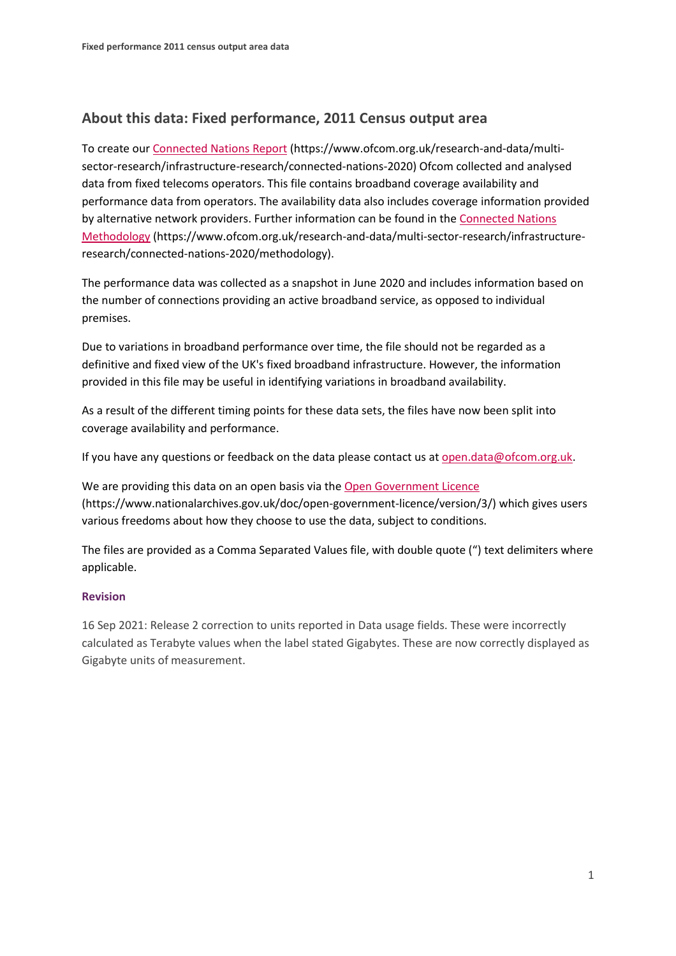## **About this data: Fixed performance, 2011 Census output area**

To create ou[r Connected Nations Report](https://www.ofcom.org.uk/research-and-data/multi-sector-research/infrastructure-research/connected-nations-2020) (https://www.ofcom.org.uk/research-and-data/multisector-research/infrastructure-research/connected-nations-2020) Ofcom collected and analysed data from fixed telecoms operators. This file contains broadband coverage availability and performance data from operators. The availability data also includes coverage information provided by alternative network providers. Further information can be found in the [Connected Nations](https://www.ofcom.org.uk/research-and-data/multi-sector-research/infrastructure-research/connected-nations-2020/methodology)  [Methodology](https://www.ofcom.org.uk/research-and-data/multi-sector-research/infrastructure-research/connected-nations-2020/methodology) (https://www.ofcom.org.uk/research-and-data/multi-sector-research/infrastructureresearch/connected-nations-2020/methodology).

The performance data was collected as a snapshot in June 2020 and includes information based on the number of connections providing an active broadband service, as opposed to individual premises.

Due to variations in broadband performance over time, the file should not be regarded as a definitive and fixed view of the UK's fixed broadband infrastructure. However, the information provided in this file may be useful in identifying variations in broadband availability.

As a result of the different timing points for these data sets, the files have now been split into coverage availability and performance.

If you have any questions or feedback on the data please contact us at [open.data@ofcom.org.uk.](mailto:open.data@ofcom.org.uk)

We are providing this data on an open basis via the [Open Government Licence](https://www.nationalarchives.gov.uk/doc/open-government-licence/version/3/) (https://www.nationalarchives.gov.uk/doc/open-government-licence/version/3/) which gives users various freedoms about how they choose to use the data, subject to conditions.

The files are provided as a Comma Separated Values file, with double quote (") text delimiters where applicable.

## **Revision**

16 Sep 2021: Release 2 correction to units reported in Data usage fields. These were incorrectly calculated as Terabyte values when the label stated Gigabytes. These are now correctly displayed as Gigabyte units of measurement.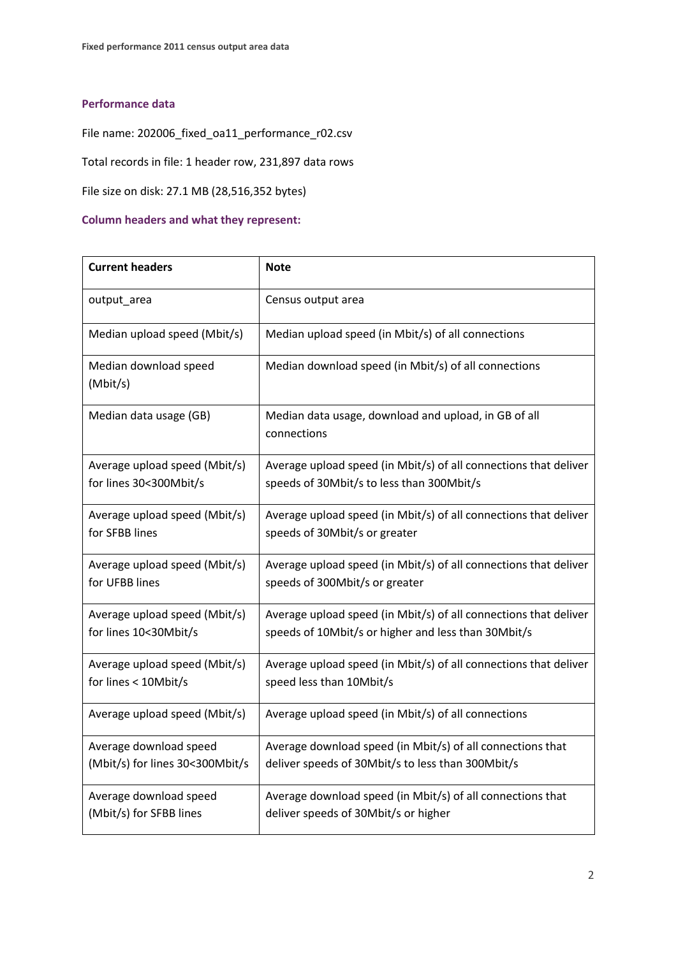## **Performance data**

File name: 202006\_fixed\_oa11\_performance\_r02.csv

Total records in file: 1 header row, 231,897 data rows

File size on disk: 27.1 MB (28,516,352 bytes)

## **Column headers and what they represent:**

| <b>Current headers</b>            | <b>Note</b>                                                         |
|-----------------------------------|---------------------------------------------------------------------|
| output_area                       | Census output area                                                  |
| Median upload speed (Mbit/s)      | Median upload speed (in Mbit/s) of all connections                  |
| Median download speed<br>(Mbit/s) | Median download speed (in Mbit/s) of all connections                |
| Median data usage (GB)            | Median data usage, download and upload, in GB of all<br>connections |
| Average upload speed (Mbit/s)     | Average upload speed (in Mbit/s) of all connections that deliver    |
| for lines 30<300Mbit/s            | speeds of 30Mbit/s to less than 300Mbit/s                           |
| Average upload speed (Mbit/s)     | Average upload speed (in Mbit/s) of all connections that deliver    |
| for SFBB lines                    | speeds of 30Mbit/s or greater                                       |
| Average upload speed (Mbit/s)     | Average upload speed (in Mbit/s) of all connections that deliver    |
| for UFBB lines                    | speeds of 300Mbit/s or greater                                      |
| Average upload speed (Mbit/s)     | Average upload speed (in Mbit/s) of all connections that deliver    |
| for lines 10<30Mbit/s             | speeds of 10Mbit/s or higher and less than 30Mbit/s                 |
| Average upload speed (Mbit/s)     | Average upload speed (in Mbit/s) of all connections that deliver    |
| for lines < 10Mbit/s              | speed less than 10Mbit/s                                            |
| Average upload speed (Mbit/s)     | Average upload speed (in Mbit/s) of all connections                 |
| Average download speed            | Average download speed (in Mbit/s) of all connections that          |
| (Mbit/s) for lines 30<300Mbit/s   | deliver speeds of 30Mbit/s to less than 300Mbit/s                   |
| Average download speed            | Average download speed (in Mbit/s) of all connections that          |
| (Mbit/s) for SFBB lines           | deliver speeds of 30Mbit/s or higher                                |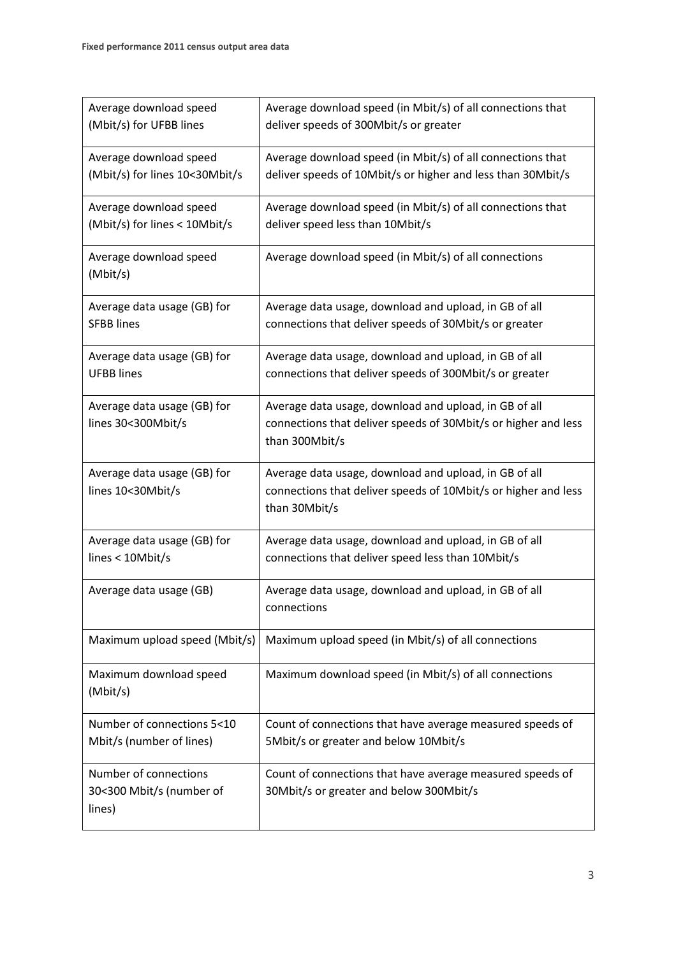| Average download speed<br>(Mbit/s) for UFBB lines           | Average download speed (in Mbit/s) of all connections that<br>deliver speeds of 300Mbit/s or greater                                      |
|-------------------------------------------------------------|-------------------------------------------------------------------------------------------------------------------------------------------|
| Average download speed<br>(Mbit/s) for lines 10<30Mbit/s    | Average download speed (in Mbit/s) of all connections that<br>deliver speeds of 10Mbit/s or higher and less than 30Mbit/s                 |
| Average download speed<br>(Mbit/s) for lines < 10Mbit/s     | Average download speed (in Mbit/s) of all connections that<br>deliver speed less than 10Mbit/s                                            |
| Average download speed<br>(Mbit/s)                          | Average download speed (in Mbit/s) of all connections                                                                                     |
| Average data usage (GB) for<br><b>SFBB lines</b>            | Average data usage, download and upload, in GB of all<br>connections that deliver speeds of 30Mbit/s or greater                           |
| Average data usage (GB) for<br><b>UFBB</b> lines            | Average data usage, download and upload, in GB of all<br>connections that deliver speeds of 300Mbit/s or greater                          |
| Average data usage (GB) for<br>lines 30<300Mbit/s           | Average data usage, download and upload, in GB of all<br>connections that deliver speeds of 30Mbit/s or higher and less<br>than 300Mbit/s |
| Average data usage (GB) for<br>lines 10<30Mbit/s            | Average data usage, download and upload, in GB of all<br>connections that deliver speeds of 10Mbit/s or higher and less<br>than 30Mbit/s  |
| Average data usage (GB) for<br>lines < 10Mbit/s             | Average data usage, download and upload, in GB of all<br>connections that deliver speed less than 10Mbit/s                                |
| Average data usage (GB)                                     | Average data usage, download and upload, in GB of all<br>connections                                                                      |
| Maximum upload speed (Mbit/s)                               | Maximum upload speed (in Mbit/s) of all connections                                                                                       |
| Maximum download speed<br>(Mbit/s)                          | Maximum download speed (in Mbit/s) of all connections                                                                                     |
| Number of connections 5<10<br>Mbit/s (number of lines)      | Count of connections that have average measured speeds of<br>5Mbit/s or greater and below 10Mbit/s                                        |
| Number of connections<br>30<300 Mbit/s (number of<br>lines) | Count of connections that have average measured speeds of<br>30Mbit/s or greater and below 300Mbit/s                                      |